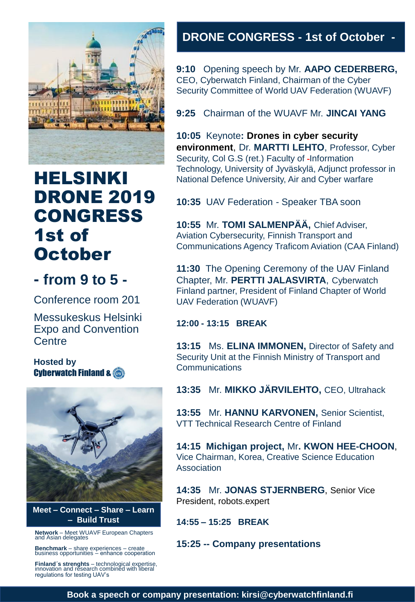

# HELSINKI DRONE 2019 CONGRESS 1st of **October**

# **- from 9 to 5 -**

Conference room 201

Messukeskus Helsinki Expo and Convention **Centre** 

**Hosted by**  Cyberwatch Finland &



**Meet – Connect – Share – Learn – Build Trust**

**Network** – Meet WUAVF European Chapters and Asian delegates

**Benchmark** – share experiences – create business opportunities – enhance cooperation

**Finland´s strenghts** – technological expertise, innovation and research combined with liberal regulations for testing UAV's

# **DRONE CONGRESS - 1st of October -**

**9:10** Opening speech by Mr. **AAPO CEDERBERG,**  CEO, Cyberwatch Finland, Chairman of the Cyber Security Committee of World UAV Federation (WUAVF)

**9:25** Chairman of the WUAVF Mr. **JINCAI YANG** 

**10:05** Keynote**: Drones in cyber security environment**, Dr. **MARTTI LEHTO**, Professor, Cyber Security, Col G.S (ret.) Faculty of -Information Technology, University of Jyväskylä, Adjunct professor in National Defence University, Air and Cyber warfare

**10:35** UAV Federation - Speaker TBA soon

**10:55** Mr. **TOMI SALMENPÄÄ,** Chief Adviser, Aviation Cybersecurity, Finnish Transport and Communications Agency Traficom Aviation (CAA Finland)

**11:30** The Opening Ceremony of the UAV Finland Chapter, Mr. **PERTTI JALASVIRTA**, Cyberwatch Finland partner, President of Finland Chapter of World UAV Federation (WUAVF)

#### **12:00 - 13:15 BREAK**

**13:15** Ms. **ELINA IMMONEN,** Director of Safety and Security Unit at the Finnish Ministry of Transport and **Communications** 

**13:35** Mr. **MIKKO JÄRVILEHTO,** CEO, Ultrahack

**13:55** Mr. **HANNU KARVONEN,** Senior Scientist, VTT Technical Research Centre of Finland

**14:15 Michigan project,** Mr**. KWON HEE-CHOON**, Vice Chairman, Korea, Creative Science Education **Association** 

**14:35** Mr. **JONAS STJERNBERG**, Senior Vice President, robots.expert

**14:55 – 15:25 BREAK**

**15:25 -- Company presentations**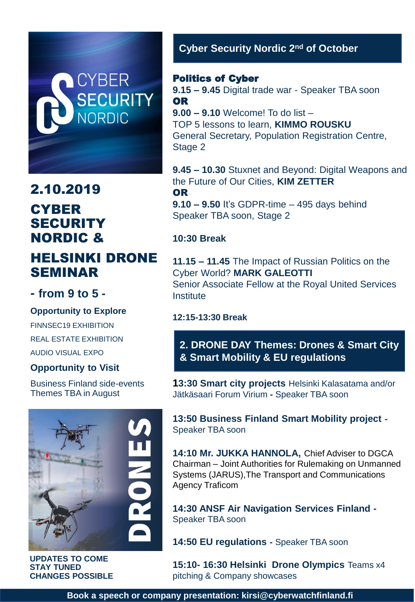# **CYBER SECURITY**<br>NORDIC

# 2.10.2019 **CYBER SECURITY** NORDIC &

# HELSINKI DRONE SEMINAR

# **- from 9 to 5 -**

#### **Opportunity to Explore**

FINNSEC19 EXHIBITION REAL ESTATE EXHIBITION AUDIO VISUAL EXPO

#### **Opportunity to Visit**

Business Finland side-events Themes TBA in August



**UPDATES TO COME STAY TUNED CHANGES POSSIBLE**

### **Cyber Security Nordic 2nd of October**

#### Politics of Cyber

**9.15 – 9.45** Digital trade war - Speaker TBA soon OR **9.00 – 9.10** Welcome! To do list – TOP 5 lessons to learn, **KIMMO ROUSKU**

General Secretary, Population Registration Centre, Stage 2

**9.45 – 10.30** Stuxnet and Beyond: Digital Weapons and the Future of Our Cities, **KIM ZETTER** OR

**9.10 – 9.50** It's GDPR-time – 495 days behind Speaker TBA soon, Stage 2

#### **10:30 Break**

**11.15 – 11.45** The Impact of Russian Politics on the Cyber World? **MARK GALEOTTI** Senior Associate Fellow at the Royal United Services **Institute** 

#### **12:15-13:30 Break**

**2. DRONE DAY Themes: Drones & Smart City & Smart Mobility & EU regulations**

**13:30 Smart city projects** Helsinki Kalasatama and/or Jätkäsaari Forum Virium **-** Speaker TBA soon

**13:50 Business Finland Smart Mobility project -** Speaker TBA soon

**14:10 Mr. JUKKA HANNOLA,** Chief Adviser to DGCA Chairman – Joint Authorities for Rulemaking on Unmanned Systems (JARUS),The Transport and Communications Agency Traficom

**14:30 ANSF Air Navigation Services Finland -** Speaker TBA soon

**14:50 EU regulations -** Speaker TBA soon

**15:10- 16:30 Helsinki Drone Olympics** Teams x4 pitching & Company showcases

**Book a speech or company presentation: kirsi@cyberwatchfinland.fi**